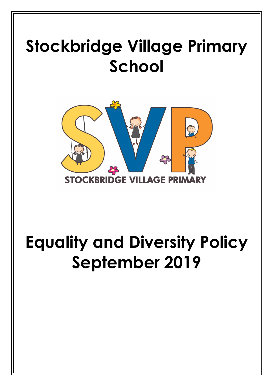# **Stockbridge Village Primary School**



## **Equality and Diversity Policy September 2019**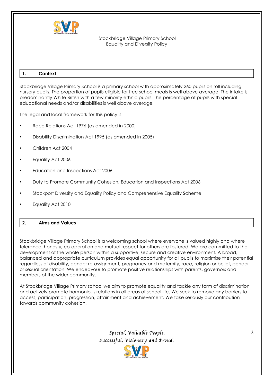

## **1. Context**

Stockbridge Village Primary School is a primary school with approximately 260 pupils on roll including nursery pupils. The proportion of pupils eligible for free school meals is well above average. The intake is predominantly White British with a few minority ethnic pupils. The percentage of pupils with special educational needs and/or disabilities is well above average.

The legal and local framework for this policy is:

- Race Relations Act 1976 (as amended in 2000)
- Disability Discrimination Act 1995 (as amended in 2005)
- Children Act 2004
- Equality Act 2006
- Education and Inspections Act 2006
- Duty to Promote Community Cohesion, Education and Inspections Act 2006
- Stockport Diversity and Equality Policy and Comprehensive Equality Scheme
- Equality Act 2010

## **2. Aims and Values**

Stockbridge Village Primary School is a welcoming school where everyone is valued highly and where tolerance, honesty, co-operation and mutual respect for others are fostered. We are committed to the development of the whole person within a supportive, secure and creative environment. A broad, balanced and appropriate curriculum provides equal opportunity for all pupils to maximise their potential regardless of disability, gender re-assignment, pregnancy and maternity, race, religion or belief, gender or sexual orientation. We endeavour to promote positive relationships with parents, governors and members of the wider community.

At Stockbridge Village Primary school we aim to promote equality and tackle any form of discrimination and actively promote harmonious relations in all areas of school life. We seek to remove any barriers to access, participation, progression, attainment and achievement. We take seriously our contribution towards community cohesion.

> *Special, Valuable People. Successful, Visionary and Proud.*

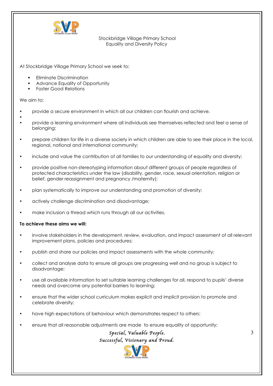

At Stockbridge Village Primary School we seek to:

- § Eliminate Discrimination
- § Advance Equality of Opportunity
- § Foster Good Relations

We aim to:

- provide a secure environment in which all our children can flourish and achieve.
- • provide a learning environment where all individuals see themselves reflected and feel a sense of belonging;
- prepare children for life in a diverse society in which children are able to see their place in the local, regional, national and international community;
- include and value the contribution of all families to our understanding of equality and diversity;
- provide positive non-stereotyping information about different groups of people regardless of protected characteristics under the law (disability, gender, race, sexual orientation, religion or belief, gender reassignment and pregnancy /maternity);
- plan systematically to improve our understanding and promotion of diversity;
- actively challenge discrimination and disadvantage;
- make inclusion a thread which runs through all our activities.

## **To achieve these aims we will:**

- involve stakeholders in the development, review, evaluation, and impact assessment of all relevant improvement plans, policies and procedures;
- publish and share our policies and impact assessments with the whole community;
- collect and analyse data to ensure all groups are progressing well and no group is subject to disadvantage;
- use all available information to set suitable learning challenges for all, respond to pupils' diverse needs and overcome any potential barriers to learning;
- ensure that the wider school curriculum makes explicit and implicit provision to promote and celebrate diversity;
- have high expectations of behaviour which demonstrates respect to others:
- ensure that all reasonable adjustments are made to ensure equality of opportunity;

 *Special, Valuable People. Successful, Visionary and Proud.* 

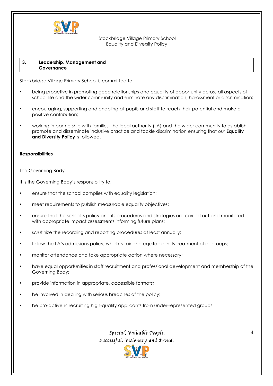

#### **3. Leadership, Management and Governance**

Stockbridge Village Primary School is committed to:

- being proactive in promoting good relationships and equality of opportunity across all aspects of school life and the wider community and eliminate any discrimination, harassment or discrimination;
- encouraging, supporting and enabling all pupils and staff to reach their potential and make a positive contribution;
- working in partnership with families, the local authority (LA) and the wider community to establish, promote and disseminate inclusive practice and tackle discrimination ensuring that our **Equality and Diversity Policy** is followed.

## **Responsibilities**

#### The Governing Body

It is the Governing Body's responsibility to:

- ensure that the school complies with equality legislation;
- meet requirements to publish measurable equality objectives;
- ensure that the school's policy and its procedures and strategies are carried out and monitored with appropriate impact assessments informing future plans;
- scrutinize the recording and reporting procedures at least annually;
- follow the LA's admissions policy, which is fair and equitable in its treatment of all groups;
- monitor attendance and take appropriate action where necessary;
- have equal opportunities in staff recruitment and professional development and membership of the Governing Body;
- provide information in appropriate, accessible formats;
- be involved in dealing with serious breaches of the policy;
- be pro-active in recruiting high-quality applicants from under-represented groups.

 *Special, Valuable People. Successful, Visionary and Proud.* 



4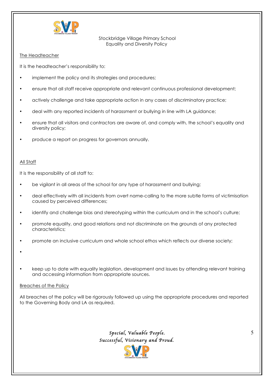

## The Headteacher

It is the headteacher's responsibility to:

- implement the policy and its strategies and procedures;
- ensure that all staff receive appropriate and relevant continuous professional development;
- actively challenge and take appropriate action in any cases of discriminatory practice;
- deal with any reported incidents of harassment or bullying in line with LA guidance;
- ensure that all visitors and contractors are aware of, and comply with, the school's equality and diversity policy;
- produce a report on progress for governors annually.

## All Staff

It is the responsibility of all staff to:

- be vigilant in all areas of the school for any type of harassment and bullying;
- deal effectively with all incidents from overt name-calling to the more subtle forms of victimisation caused by perceived differences;
- identify and challenge bias and stereotyping within the curriculum and in the school's culture;
- promote equality, and good relations and not discriminate on the grounds of any protected characteristics;
- promote an inclusive curriculum and whole school ethos which reflects our diverse society;
- •
- keep up to date with equality legislation, development and issues by attending relevant training and accessing information from appropriate sources.

## Breaches of the Policy

All breaches of the policy will be rigorously followed up using the appropriate procedures and reported to the Governing Body and LA as required.

> *Special, Valuable People. Successful, Visionary and Proud.*

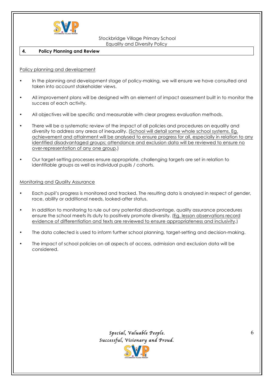

#### **4. Policy Planning and Review**

#### Policy planning and development

- In the planning and development stage of policy-making, we will ensure we have consulted and taken into account stakeholder views.
- All improvement plans will be designed with an element of impact assessment built in to monitor the success of each activity.
- All objectives will be specific and measurable with clear progress evaluation methods.
- There will be a systematic review of the impact of all policies and procedures on equality and diversity to address any areas of inequality. (School will detail some whole school systems. Eg. achievement and attainment will be analysed to ensure progress for all, especially in relation to any identified disadvantaged groups; attendance and exclusion data will be reviewed to ensure no over-representation of any one group.)
- Our target-setting processes ensure appropriate, challenging targets are set in relation to identifiable groups as well as individual pupils / cohorts.

#### Monitoring and Quality Assurance

- Each pupil's progress is monitored and tracked. The resulting data is analysed in respect of gender, race, ability or additional needs, looked-after status.
- In addition to monitoring to rule out any potential disadvantage, quality assurance procedures ensure the school meets its duty to positively promote diversity. (Eg. lesson observations record evidence of differentiation and texts are reviewed to ensure appropriateness and inclusivity.)
- The data collected is used to inform further school planning, target-setting and decision-making.
- The impact of school policies on all aspects of access, admission and exclusion data will be considered.